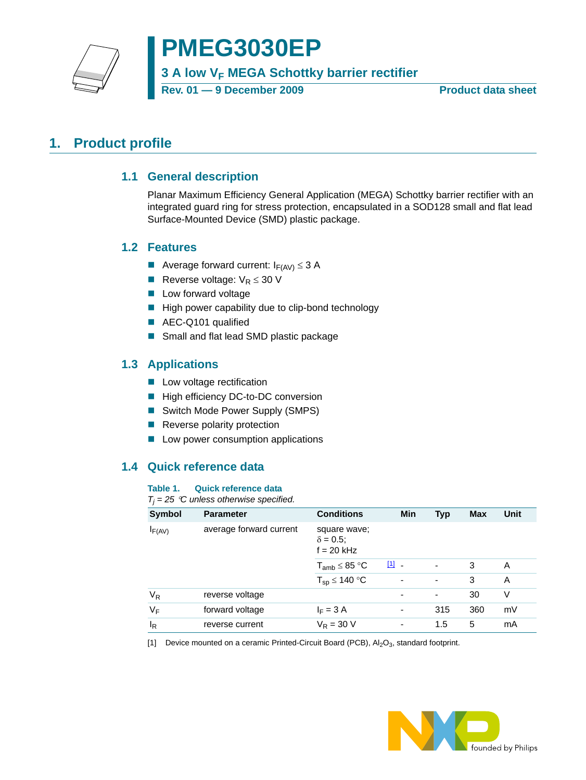**PMEG3030EP**

**3 A low V<sub>F</sub> MEGA Schottky barrier rectifier** 

Rev. 01 — 9 December 2009 **Product data sheet** 

# <span id="page-0-2"></span><span id="page-0-1"></span>**1. Product profile**

### **1.1 General description**

Planar Maximum Efficiency General Application (MEGA) Schottky barrier rectifier with an integrated guard ring for stress protection, encapsulated in a SOD128 small and flat lead Surface-Mounted Device (SMD) plastic package.

### <span id="page-0-3"></span>**1.2 Features**

- Average forward current:  $I_{F(AV)} \leq 3$  A
- Reverse voltage:  $V_R \leq 30$  V
- **Low forward voltage**
- $\blacksquare$  High power capability due to clip-bond technology
- AEC-Q101 qualified
- Small and flat lead SMD plastic package

### <span id="page-0-4"></span>**1.3 Applications**

- **Low voltage rectification**
- High efficiency DC-to-DC conversion
- Switch Mode Power Supply (SMPS)
- Reverse polarity protection
- **Low power consumption applications**

## <span id="page-0-5"></span>**1.4 Quick reference data**

#### **Table 1. Quick reference data**

#### *Tj = 25* °*C unless otherwise specified.*

| Symbol      | <b>Parameter</b>        | <b>Conditions</b>                                | Min   | Typ                      | <b>Max</b> | <b>Unit</b> |
|-------------|-------------------------|--------------------------------------------------|-------|--------------------------|------------|-------------|
| $I_{F(AV)}$ | average forward current | square wave;<br>$\delta = 0.5$ ;<br>$f = 20$ kHz |       |                          |            |             |
|             |                         | $T_{amb} \leq 85 °C$                             | $[1]$ | $\blacksquare$           | 3          | A           |
|             |                         | $T_{sp} \le 140 °C$                              | ٠     | ٠                        | 3          | A           |
| $V_R$       | reverse voltage         |                                                  | ۰     | $\overline{\phantom{a}}$ | 30         | V           |
| VF          | forward voltage         | $I_F = 3 A$                                      | ۰     | 315                      | 360        | mV          |
| ΙR          | reverse current         | $V_R = 30 V$                                     | ٠     | 1.5                      | 5          | mA          |

<span id="page-0-0"></span>[1] Device mounted on a ceramic Printed-Circuit Board (PCB),  $Al_2O_3$ , standard footprint.

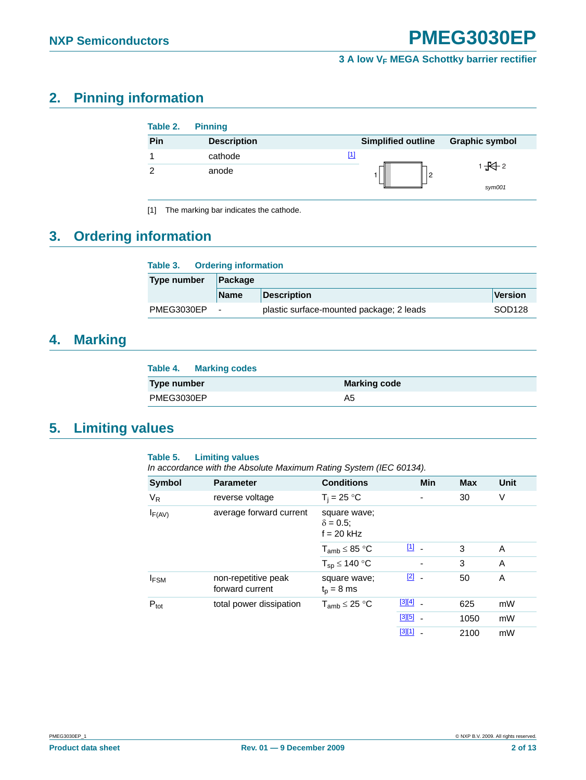# <span id="page-1-1"></span>**2. Pinning information**

| Table 2. | <b>Pinning</b>     |                           |                       |
|----------|--------------------|---------------------------|-----------------------|
| Pin      | <b>Description</b> | <b>Simplified outline</b> | <b>Graphic symbol</b> |
|          | cathode            | [1]                       |                       |
| ⌒        | anode              | 2                         | 1 $\overline{+}$ 2    |
|          |                    |                           | sym001                |

<span id="page-1-0"></span>[1] The marking bar indicates the cathode.

# <span id="page-1-2"></span>**3. Ordering information**

| <b>Type number</b> | Package     |                                          |                    |
|--------------------|-------------|------------------------------------------|--------------------|
|                    | <b>Name</b> | <b>Description</b>                       | Version            |
| PMEG3030EP         |             | plastic surface-mounted package; 2 leads | SOD <sub>128</sub> |

## <span id="page-1-3"></span>**4. Marking**

| Table 4. Marking codes |                     |
|------------------------|---------------------|
| Type number            | <b>Marking code</b> |
| PMEG3030EP             | A5                  |

## <span id="page-1-4"></span>**5. Limiting values**

#### **Table 5. Limiting values**

*In accordance with the Absolute Maximum Rating System (IEC 60134).*

| Symbol           | <b>Parameter</b>                       | <b>Conditions</b>                                | <b>Min</b>    | <b>Max</b> | <b>Unit</b> |
|------------------|----------------------------------------|--------------------------------------------------|---------------|------------|-------------|
| V <sub>R</sub>   | reverse voltage                        | $T_i = 25 °C$                                    |               | 30         | V           |
| $I_{F(AV)}$      | average forward current                | square wave;<br>$\delta = 0.5$ ;<br>$f = 20$ kHz |               |            |             |
|                  |                                        | $T_{amb} \leq 85 °C$                             | $\boxed{1}$ - | 3          | A           |
|                  |                                        | $T_{sp} \le 140 °C$                              |               | 3          | A           |
| $I_{FSM}$        | non-repetitive peak<br>forward current | square wave;<br>$t_{p}$ = 8 ms                   | $\boxed{2}$ - | 50         | A           |
| $P_{\text{tot}}$ | total power dissipation                | $T_{amb} \leq 25 °C$                             | $[3][4]$ $-$  | 625        | mW          |
|                  |                                        |                                                  | $[3][5]$ .    | 1050       | mW          |
|                  |                                        |                                                  | [3][1]        | 2100       | mW          |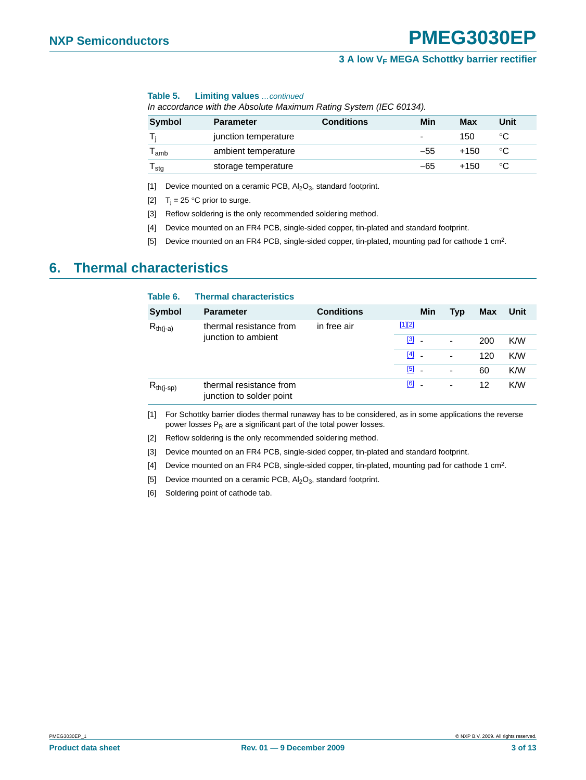#### **Table 5. Limiting values** *…continued*

*In accordance with the Absolute Maximum Rating System (IEC 60134).*

| <b>Symbol</b> | <b>Parameter</b>     | <b>Conditions</b> | Min                      | <b>Max</b> | Unit |
|---------------|----------------------|-------------------|--------------------------|------------|------|
|               | junction temperature |                   | $\overline{\phantom{0}}$ | 150        | °C   |
| l amb         | ambient temperature  |                   | $-55$                    | +150       | °C   |
| l stg         | storage temperature  |                   | -65                      | +150       | °C   |

<span id="page-2-0"></span>[1] Device mounted on a ceramic PCB,  $Al_2O_3$ , standard footprint.

<span id="page-2-1"></span>[2]  $T_i = 25$  °C prior to surge.

<span id="page-2-2"></span>[3] Reflow soldering is the only recommended soldering method.

<span id="page-2-3"></span>[4] Device mounted on an FR4 PCB, single-sided copper, tin-plated and standard footprint.

<span id="page-2-4"></span>[5] Device mounted on an FR4 PCB, single-sided copper, tin-plated, mounting pad for cathode 1 cm2.

## <span id="page-2-11"></span>**6. Thermal characteristics**

| Table 6.       | <b>Thermal characteristics</b>                      |                   |                                   |                          |            |      |
|----------------|-----------------------------------------------------|-------------------|-----------------------------------|--------------------------|------------|------|
| <b>Symbol</b>  | <b>Parameter</b>                                    | <b>Conditions</b> | Min                               | <b>Typ</b>               | <b>Max</b> | Unit |
| $R_{th(i-a)}$  | thermal resistance from<br>junction to ambient      | in free air       | $[1][2]$                          |                          |            |      |
|                |                                                     |                   | [3]<br><b>.</b>                   | $\overline{\phantom{a}}$ | 200        | K/W  |
|                |                                                     |                   | $[4]$<br>$\overline{\phantom{a}}$ | ٠                        | 120        | K/W  |
|                |                                                     |                   | [5]                               | ٠                        | 60         | K/W  |
| $R_{th(j-sp)}$ | thermal resistance from<br>junction to solder point |                   | $[6]$ $-$                         | -                        | 12         | K/W  |

<span id="page-2-5"></span>[1] For Schottky barrier diodes thermal runaway has to be considered, as in some applications the reverse power losses  $P_R$  are a significant part of the total power losses.

<span id="page-2-6"></span>[2] Reflow soldering is the only recommended soldering method.

- <span id="page-2-7"></span>[3] Device mounted on an FR4 PCB, single-sided copper, tin-plated and standard footprint.
- <span id="page-2-8"></span>[4] Device mounted on an FR4 PCB, single-sided copper, tin-plated, mounting pad for cathode 1 cm2.

<span id="page-2-9"></span>[5] Device mounted on a ceramic PCB,  $Al_2O_3$ , standard footprint.

<span id="page-2-10"></span>[6] Soldering point of cathode tab.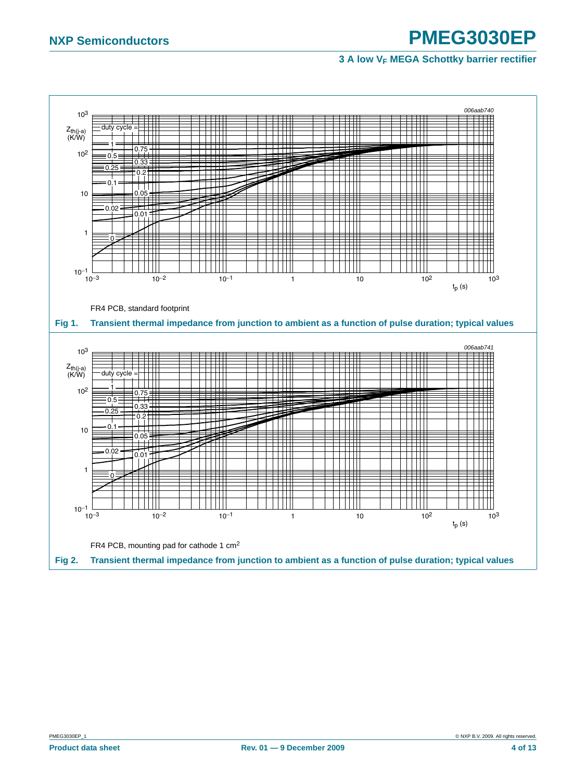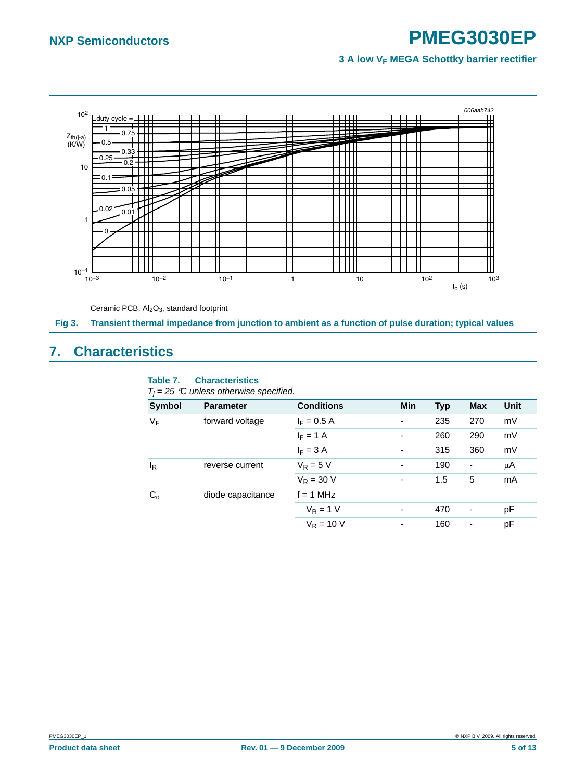#### *006aab742* 102  $\equiv$  duty cycle = ₩  $1 + 0.75$ Z<sub>th(j-a)</sub><br>(K/W)  $\Omega$ ПI 0.33 H  $-0.25 - 0.25$ 10 0.1 0.05 ┿╇ ┯┪┪┪┪ ┯ ┱  $\overline{\mathcal{A}}$  $0.02 - 0.01$ 1 W ∓ Ŧ  $\epsilon$ ┯ ╈╈╈╈ TH H ┯ ┯┷ T TTI  $10^{-1}$   $\frac{1}{10^{-3}}$  $10^{-3}$  10<sup>-2</sup> 10<sup>-1</sup> 1 10 10<sup>2</sup> 10<sup>3</sup>  $t_p(s)$ Ceramic PCB, Al<sub>2</sub>O<sub>3</sub>, standard footprint **Fig 3. Transient thermal impedance from junction to ambient as a function of pulse duration; typical values**

# <span id="page-4-0"></span>**7. Characteristics**

#### **Table 7. Characteristics**

|  |  |  | $T_i = 25$ °C unless otherwise specified. |  |
|--|--|--|-------------------------------------------|--|
|--|--|--|-------------------------------------------|--|

| <b>Symbol</b> | <b>Parameter</b>  | <b>Conditions</b> | <b>Min</b>               | <b>Typ</b> | <b>Max</b>               | Unit |
|---------------|-------------------|-------------------|--------------------------|------------|--------------------------|------|
| $V_F$         | forward voltage   | $I_F = 0.5 A$     | $\overline{\phantom{a}}$ | 235        | 270                      | mV   |
|               |                   | $I_F = 1 A$       | $\overline{\phantom{a}}$ | 260        | 290                      | mV   |
|               |                   | $I_F = 3 A$       | $\overline{\phantom{a}}$ | 315        | 360                      | mV   |
| $I_R$         | reverse current   | $V_R = 5 V$       | $\overline{\phantom{a}}$ | 190        | ٠                        | μA   |
|               |                   | $V_R = 30 V$      | $\overline{\phantom{a}}$ | 1.5        | 5                        | mA   |
| $C_d$         | diode capacitance | $f = 1$ MHz       |                          |            |                          |      |
|               |                   | $V_R = 1 V$       | $\blacksquare$           | 470        | $\overline{\phantom{a}}$ | рF   |
|               |                   | $V_R = 10 V$      | $\overline{\phantom{a}}$ | 160        | ۰                        | рF   |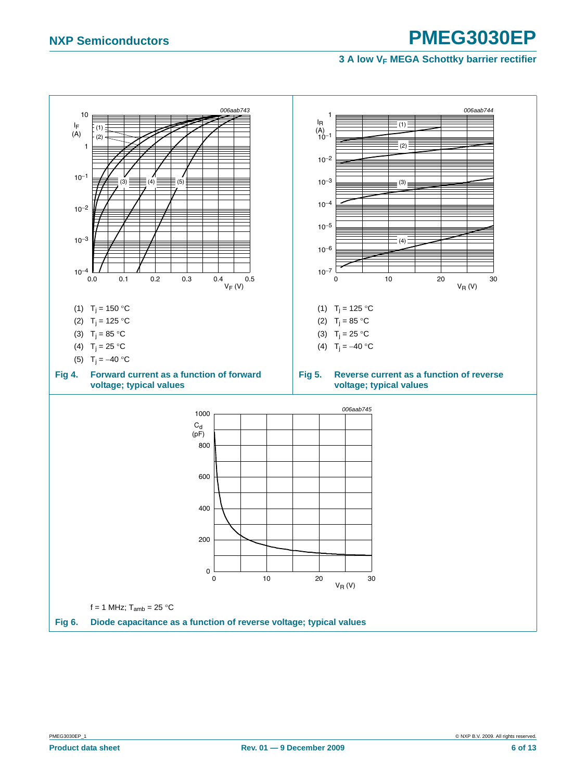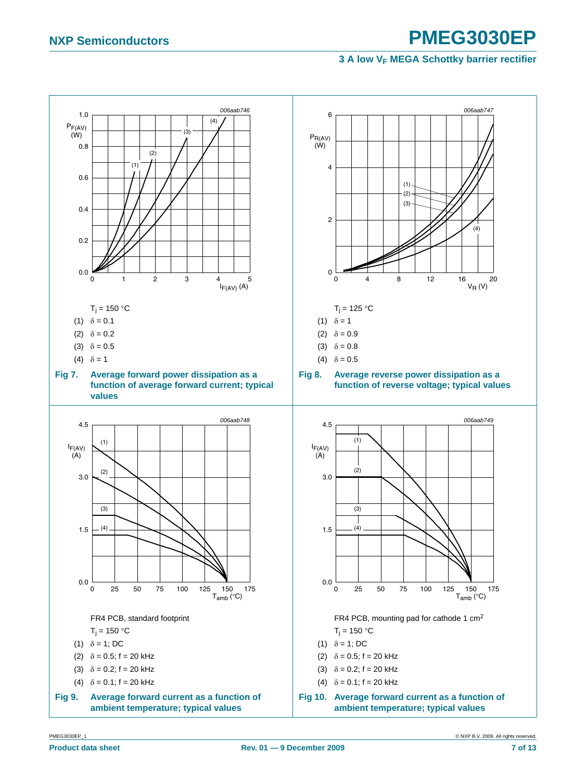<span id="page-6-1"></span><span id="page-6-0"></span>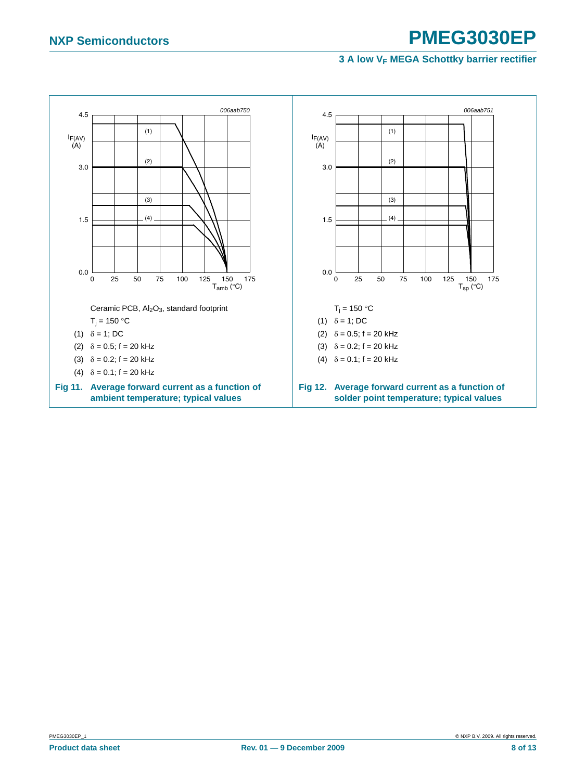<span id="page-7-1"></span><span id="page-7-0"></span>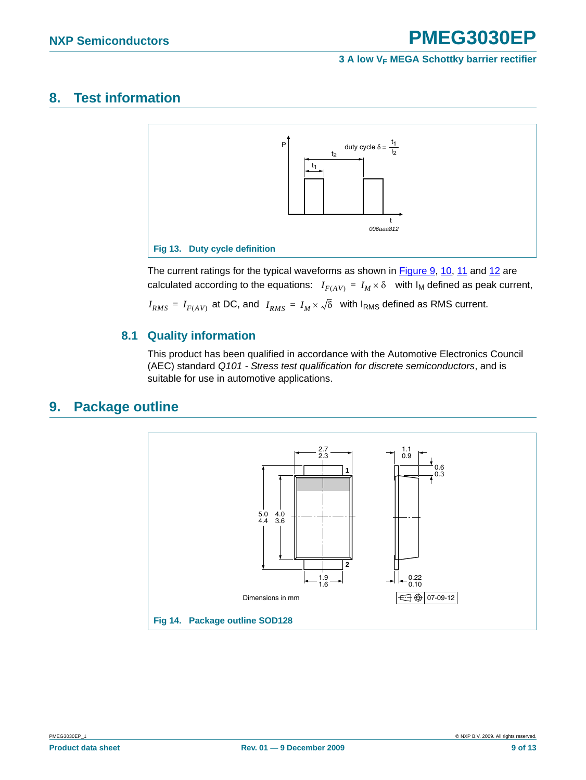## <span id="page-8-0"></span>**8. Test information**



The current ratings for the typical waveforms as shown in [Figure 9](#page-6-0), [10,](#page-6-1) [11](#page-7-0) and [12](#page-7-1) are calculated according to the equations:  $I_{F(AV)} = I_M \times \delta$  with  $I_M$  defined as peak current,

 $I_{RMS}$  =  $I_{F(AV)}$  at DC, and  $\ I_{RMS}$  =  $I_M \times \sqrt{\delta}$  with I<sub>RMS</sub> defined as RMS current.

### <span id="page-8-1"></span>**8.1 Quality information**

This product has been qualified in accordance with the Automotive Electronics Council (AEC) standard *Q101 - Stress test qualification for discrete semiconductors*, and is suitable for use in automotive applications.

## <span id="page-8-2"></span>**9. Package outline**

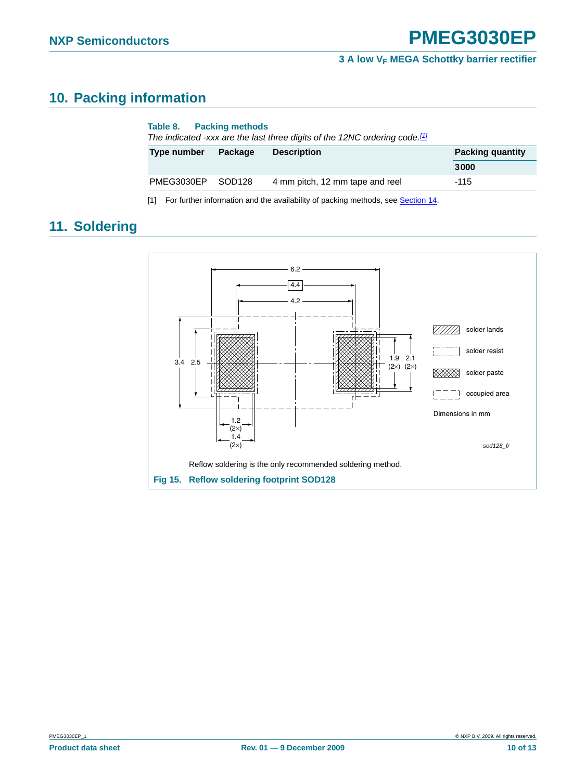# <span id="page-9-1"></span>**10. Packing information**

| Table 8. Packing methods<br>The indicated -xxx are the last three digits of the 12NC ordering code.[1] |                    |                                                                                  |                         |  |  |
|--------------------------------------------------------------------------------------------------------|--------------------|----------------------------------------------------------------------------------|-------------------------|--|--|
| Type number                                                                                            | Package            | <b>Description</b>                                                               | <b>Packing quantity</b> |  |  |
|                                                                                                        |                    |                                                                                  | 3000                    |  |  |
| PMEG3030EP                                                                                             | SOD <sub>128</sub> | 4 mm pitch, 12 mm tape and reel                                                  | $-115$                  |  |  |
| [1]                                                                                                    |                    | For further information and the availability of packing methods, see Section 14. |                         |  |  |

# <span id="page-9-2"></span>**11. Soldering**

<span id="page-9-0"></span>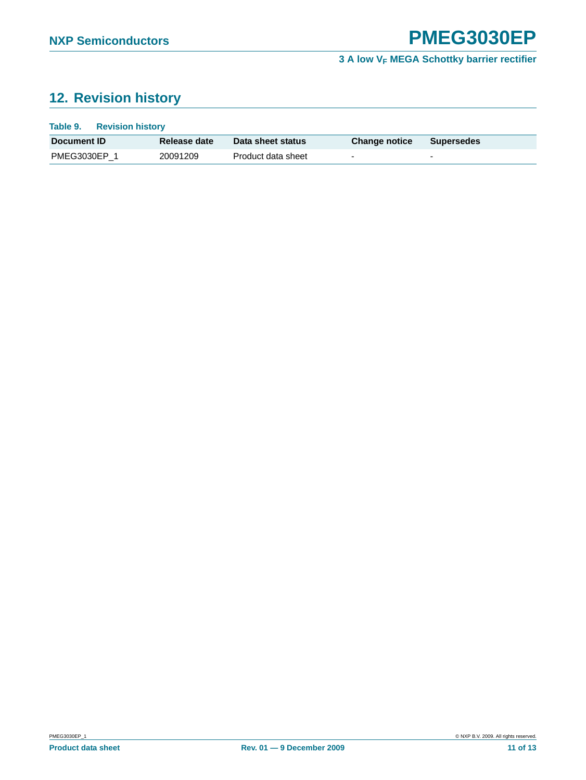# <span id="page-10-0"></span>**12. Revision history**

| Table 9.<br><b>Revision history</b> |              |                    |                          |                          |  |
|-------------------------------------|--------------|--------------------|--------------------------|--------------------------|--|
| Document ID                         | Release date | Data sheet status  | <b>Change notice</b>     | <b>Supersedes</b>        |  |
| PMEG3030EP 1                        | 20091209     | Product data sheet | $\overline{\phantom{0}}$ | $\overline{\phantom{0}}$ |  |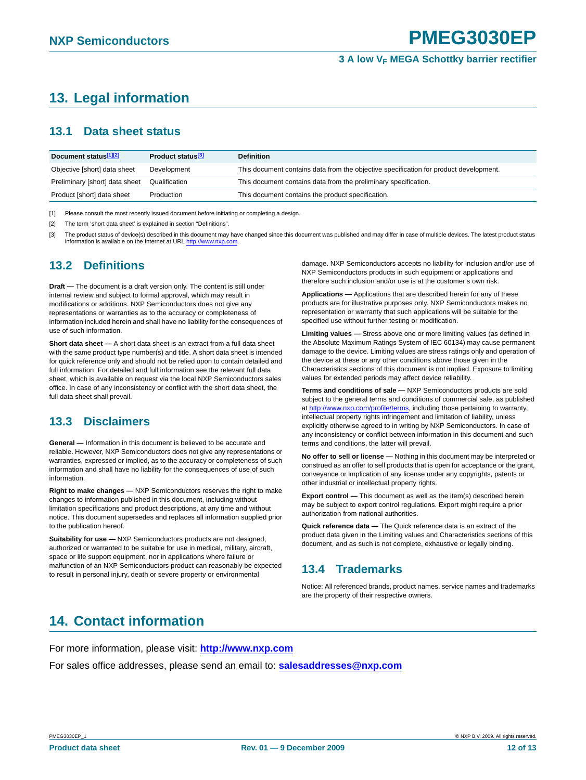# <span id="page-11-1"></span>**13. Legal information**

### <span id="page-11-2"></span>**13.1 Data sheet status**

| Document status <sup>[1][2]</sup> | Product status <sup>[3]</sup> | <b>Definition</b>                                                                     |
|-----------------------------------|-------------------------------|---------------------------------------------------------------------------------------|
| Objective [short] data sheet      | Development                   | This document contains data from the objective specification for product development. |
| Preliminary [short] data sheet    | Qualification                 | This document contains data from the preliminary specification.                       |
| Product [short] data sheet        | Production                    | This document contains the product specification.                                     |

[1] Please consult the most recently issued document before initiating or completing a design.

[2] The term 'short data sheet' is explained in section "Definitions".

[3] The product status of device(s) described in this document may have changed since this document was published and may differ in case of multiple devices. The latest product status information is available on the Internet at URL http://www.nxp.com.

## <span id="page-11-3"></span>**13.2 Definitions**

**Draft —** The document is a draft version only. The content is still under internal review and subject to formal approval, which may result in modifications or additions. NXP Semiconductors does not give any representations or warranties as to the accuracy or completeness of information included herein and shall have no liability for the consequences of use of such information.

**Short data sheet —** A short data sheet is an extract from a full data sheet with the same product type number(s) and title. A short data sheet is intended for quick reference only and should not be relied upon to contain detailed and full information. For detailed and full information see the relevant full data sheet, which is available on request via the local NXP Semiconductors sales office. In case of any inconsistency or conflict with the short data sheet, the full data sheet shall prevail.

## <span id="page-11-4"></span>**13.3 Disclaimers**

**General —** Information in this document is believed to be accurate and reliable. However, NXP Semiconductors does not give any representations or warranties, expressed or implied, as to the accuracy or completeness of such information and shall have no liability for the consequences of use of such information.

**Right to make changes —** NXP Semiconductors reserves the right to make changes to information published in this document, including without limitation specifications and product descriptions, at any time and without notice. This document supersedes and replaces all information supplied prior to the publication hereof.

**Suitability for use —** NXP Semiconductors products are not designed, authorized or warranted to be suitable for use in medical, military, aircraft, space or life support equipment, nor in applications where failure or malfunction of an NXP Semiconductors product can reasonably be expected to result in personal injury, death or severe property or environmental

damage. NXP Semiconductors accepts no liability for inclusion and/or use of NXP Semiconductors products in such equipment or applications and therefore such inclusion and/or use is at the customer's own risk.

**Applications —** Applications that are described herein for any of these products are for illustrative purposes only. NXP Semiconductors makes no representation or warranty that such applications will be suitable for the specified use without further testing or modification.

**Limiting values —** Stress above one or more limiting values (as defined in the Absolute Maximum Ratings System of IEC 60134) may cause permanent damage to the device. Limiting values are stress ratings only and operation of the device at these or any other conditions above those given in the Characteristics sections of this document is not implied. Exposure to limiting values for extended periods may affect device reliability.

**Terms and conditions of sale —** NXP Semiconductors products are sold subject to the general terms and conditions of commercial sale, as published at http://www.nxp.com/profile/terms, including those pertaining to warranty, intellectual property rights infringement and limitation of liability, unless explicitly otherwise agreed to in writing by NXP Semiconductors. In case of any inconsistency or conflict between information in this document and such terms and conditions, the latter will prevail.

**No offer to sell or license —** Nothing in this document may be interpreted or construed as an offer to sell products that is open for acceptance or the grant, conveyance or implication of any license under any copyrights, patents or other industrial or intellectual property rights.

**Export control —** This document as well as the item(s) described herein may be subject to export control regulations. Export might require a prior authorization from national authorities.

**Quick reference data —** The Quick reference data is an extract of the product data given in the Limiting values and Characteristics sections of this document, and as such is not complete, exhaustive or legally binding.

## <span id="page-11-5"></span>**13.4 Trademarks**

Notice: All referenced brands, product names, service names and trademarks are the property of their respective owners.

# <span id="page-11-0"></span>**14. Contact information**

For more information, please visit: **http://www.nxp.com** For sales office addresses, please send an email to: **salesaddresses@nxp.com**